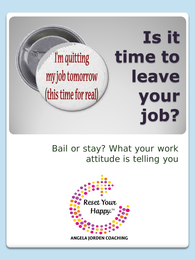**Is it time to**  I'm quitting my job tomorrow **leave**  (this time for real) **your job?**

#### Bail or stay? What your work attitude is telling you

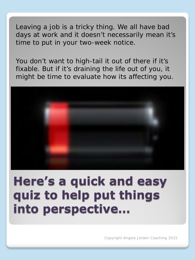Leaving a job is a tricky thing. We all have bad days at work and it doesn't necessarily mean it's time to put in your two-week notice.

You don't want to high-tail it out of there if it's fixable. But if it's draining the life out of you, it might be time to evaluate how its affecting you.



# **Here's a quick and easy quiz to help put things into perspective…**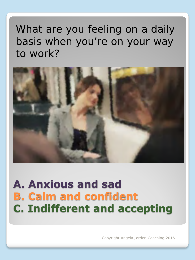## What are you feeling on a daily basis when you're on your way to work?



# **A. Anxious and sad B. Calm and confident C. Indifferent and accepting**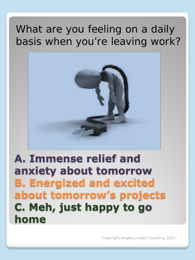## What are you feeling on a daily basis when you're leaving work?



# **A. Immense relief and anxiety about tomorrow B. Energized and excited about tomorrow's projects C. Meh, just happy to go home**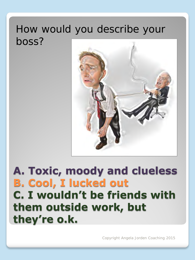#### How would you describe your boss?



# **A. Toxic, moody and clueless B. Cool, I lucked out C. I wouldn't be friends with them outside work, but they're o.k.**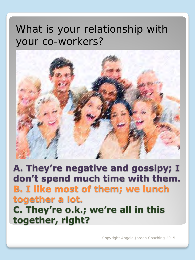## What is your relationship with your co-workers?



**A. They're negative and gossipy; I don't spend much time with them. B. I like most of them; we lunch together a lot. C. They're o.k.; we're all in this together, right?**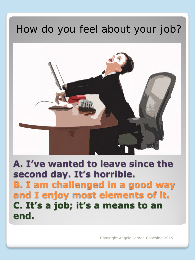# How do you feel about your job?



**A. I've wanted to leave since the second day. It's horrible. B. I am challenged in a good way and I enjoy most elements of it. C. It's a job; it's a means to an end.**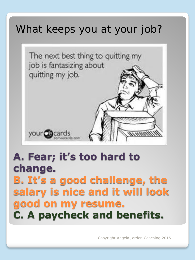### What keeps you at your job?



## **A. Fear; it's too hard to change. B. It's a good challenge, the salary is nice and it will look good on my resume. C. A paycheck and benefits.**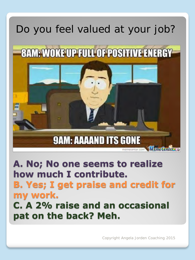# Do you feel valued at your job?



**A. No; No one seems to realize how much I contribute. B. Yes; I get praise and credit for my work. C. A 2% raise and an occasional pat on the back? Meh.**

Copyright Angela Jorden Coaching 2015

memecenter.com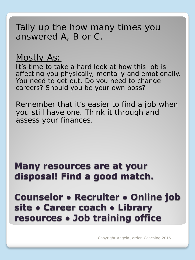#### Tally up the how many times you answered A, B or C.

#### Mostly As:

It's time to take a hard look at how this job is affecting you physically, mentally and emotionally. You need to get out. Do you need to change careers? Should you be your own boss?

Remember that it's easier to find a job when you still have one. Think it through and assess your finances.

#### **Many resources are at your disposal! Find a good match.**

**Counselor ● Recruiter ● Online job site ● Career coach ● Library resources ● Job training office**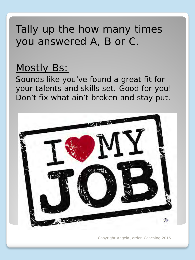## Tally up the how many times you answered A, B or C.

#### Mostly Bs:

Sounds like you've found a great fit for your talents and skills set. Good for you! Don't fix what ain't broken and stay put.

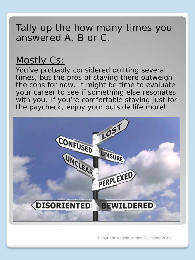#### Tally up the how many times you answered A, B or C.

#### Mostly Cs:

You've probably considered quitting several times, but the pros of staying there outweigh the cons for now. It might be time to evaluate your career to see if something else resonates with you. If you're comfortable staying just for the paycheck, enjoy your outside life more!